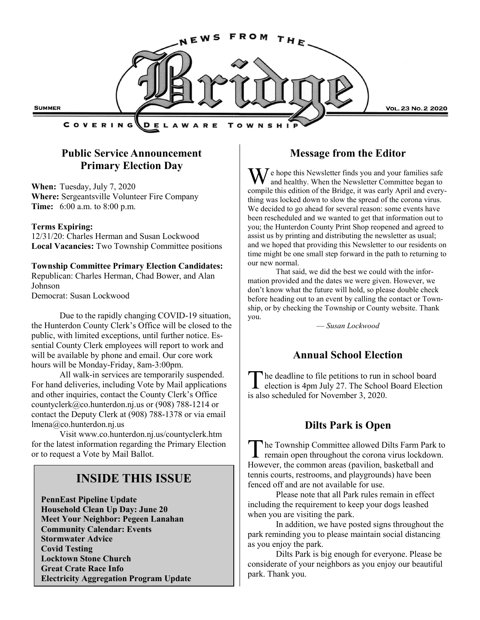

## **Public Service Announcement Primary Election Day**

**When:** Tuesday, July 7, 2020 **Where:** Sergeantsville Volunteer Fire Company **Time:** 6:00 a.m. to 8:00 p.m.

### **Terms Expiring:**

12/31/20: Charles Herman and Susan Lockwood **Local Vacancies:** Two Township Committee positions

#### **Township Committee Primary Election Candidates:** Republican: Charles Herman, Chad Bower, and Alan Johnson

Democrat: Susan Lockwood

Due to the rapidly changing COVID-19 situation, the Hunterdon County Clerk's Office will be closed to the public, with limited exceptions, until further notice. Essential County Clerk employees will report to work and will be available by phone and email. Our core work hours will be Monday-Friday, 8am-3:00pm.

All walk-in services are temporarily suspended. For hand deliveries, including Vote by Mail applications and other inquiries, contact the County Clerk's Office countyclerk@co.hunterdon.nj.us or (908) 788-1214 or contact the Deputy Clerk at (908) 788-1378 or via email lmena@co.hunterdon.nj.us

Visit www.co.hunterdon.nj.us/countyclerk.htm for the latest information regarding the Primary Election or to request a Vote by Mail Ballot.

# **INSIDE THIS ISSUE**

**PennEast Pipeline Update Household Clean Up Day: June 20 Meet Your Neighbor: Pegeen Lanahan Community Calendar: Events Stormwater Advice Covid Testing Locktown Stone Church Great Crate Race Info Electricity Aggregation Program Update**

## **Message from the Editor**

We hope this Newsletter finds you and your families safe and healthy. When the Newsletter Committee began to compile this edition of the Bridge, it was early April and everything was locked down to slow the spread of the corona virus. We decided to go ahead for several reason: some events have been rescheduled and we wanted to get that information out to you; the Hunterdon County Print Shop reopened and agreed to assist us by printing and distributing the newsletter as usual; and we hoped that providing this Newsletter to our residents on time might be one small step forward in the path to returning to our new normal.

That said, we did the best we could with the information provided and the dates we were given. However, we don't know what the future will hold, so please double check before heading out to an event by calling the contact or Township, or by checking the Township or County website. Thank you.

— *Susan Lockwood*

## **Annual School Election**

T he deadline to file petitions to run in school board election is 4pm July 27. The School Board Election is also scheduled for November 3, 2020.

## **Dilts Park is Open**

T he Township Committee allowed Dilts Farm Park to remain open throughout the corona virus lockdown. However, the common areas (pavilion, basketball and tennis courts, restrooms, and playgrounds) have been fenced off and are not available for use.

Please note that all Park rules remain in effect including the requirement to keep your dogs leashed when you are visiting the park.

In addition, we have posted signs throughout the park reminding you to please maintain social distancing as you enjoy the park.

Dilts Park is big enough for everyone. Please be considerate of your neighbors as you enjoy our beautiful park. Thank you.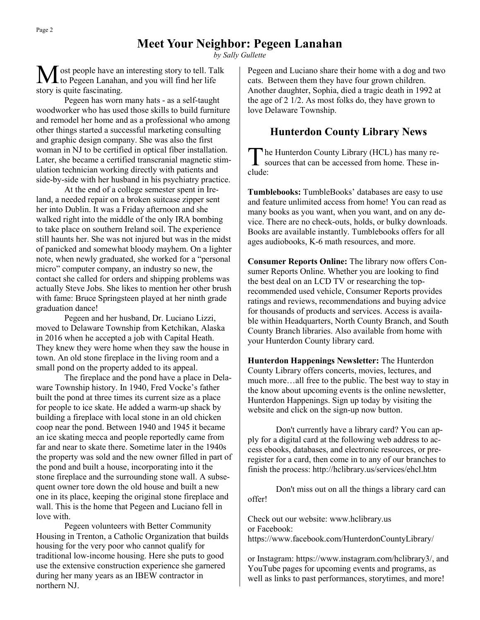## **Meet Your Neighbor: Pegeen Lanahan**

*by Sally Gullette*

ost people have an interesting story to tell. Talk to Pegeen Lanahan, and you will find her life story is quite fascinating.

Pegeen has worn many hats - as a self-taught woodworker who has used those skills to build furniture and remodel her home and as a professional who among other things started a successful marketing consulting and graphic design company. She was also the first woman in NJ to be certified in optical fiber installation. Later, she became a certified transcranial magnetic stimulation technician working directly with patients and side-by-side with her husband in his psychiatry practice.

At the end of a college semester spent in Ireland, a needed repair on a broken suitcase zipper sent her into Dublin. It was a Friday afternoon and she walked right into the middle of the only IRA bombing to take place on southern Ireland soil. The experience still haunts her. She was not injured but was in the midst of panicked and somewhat bloody mayhem. On a lighter note, when newly graduated, she worked for a "personal micro" computer company, an industry so new, the contact she called for orders and shipping problems was actually Steve Jobs. She likes to mention her other brush with fame: Bruce Springsteen played at her ninth grade graduation dance!

Pegeen and her husband, Dr. Luciano Lizzi, moved to Delaware Township from Ketchikan, Alaska in 2016 when he accepted a job with Capital Heath. They knew they were home when they saw the house in town. An old stone fireplace in the living room and a small pond on the property added to its appeal.

The fireplace and the pond have a place in Delaware Township history. In 1940, Fred Vocke's father built the pond at three times its current size as a place for people to ice skate. He added a warm-up shack by building a fireplace with local stone in an old chicken coop near the pond. Between 1940 and 1945 it became an ice skating mecca and people reportedly came from far and near to skate there. Sometime later in the 1940s the property was sold and the new owner filled in part of the pond and built a house, incorporating into it the stone fireplace and the surrounding stone wall. A subsequent owner tore down the old house and built a new one in its place, keeping the original stone fireplace and wall. This is the home that Pegeen and Luciano fell in love with.

Pegeen volunteers with Better Community Housing in Trenton, a Catholic Organization that builds housing for the very poor who cannot qualify for traditional low-income housing. Here she puts to good use the extensive construction experience she garnered during her many years as an IBEW contractor in northern NJ.

Pegeen and Luciano share their home with a dog and two cats. Between them they have four grown children. Another daughter, Sophia, died a tragic death in 1992 at the age of 2 1/2. As most folks do, they have grown to love Delaware Township.

## **Hunterdon County Library News**

T he Hunterdon County Library (HCL) has many resources that can be accessed from home. These include:

**Tumblebooks:** TumbleBooks' databases are easy to use and feature unlimited access from home! You can read as many books as you want, when you want, and on any device. There are no check-outs, holds, or bulky downloads. Books are available instantly. Tumblebooks offers for all ages audiobooks, K-6 math resources, and more.

**Consumer Reports Online:** The library now offers Consumer Reports Online. Whether you are looking to find the best deal on an LCD TV or researching the toprecommended used vehicle, Consumer Reports provides ratings and reviews, recommendations and buying advice for thousands of products and services. Access is available within Headquarters, North County Branch, and South County Branch libraries. Also available from home with your Hunterdon County library card.

**Hunterdon Happenings Newsletter:** The Hunterdon County Library offers concerts, movies, lectures, and much more…all free to the public. The best way to stay in the know about upcoming events is the online newsletter, Hunterdon Happenings. Sign up today by visiting the website and click on the sign-up now button.

Don't currently have a library card? You can apply for a digital card at the following web address to access ebooks, databases, and electronic resources, or preregister for a card, then come in to any of our branches to finish the process: http://hclibrary.us/services/ehcl.htm

Don't miss out on all the things a library card can offer!

Check out our website: www.hclibrary.us or Facebook: https://www.facebook.com/HunterdonCountyLibrary/

or Instagram: https://www.instagram.com/hclibrary3/, and YouTube pages for upcoming events and programs, as well as links to past performances, storytimes, and more!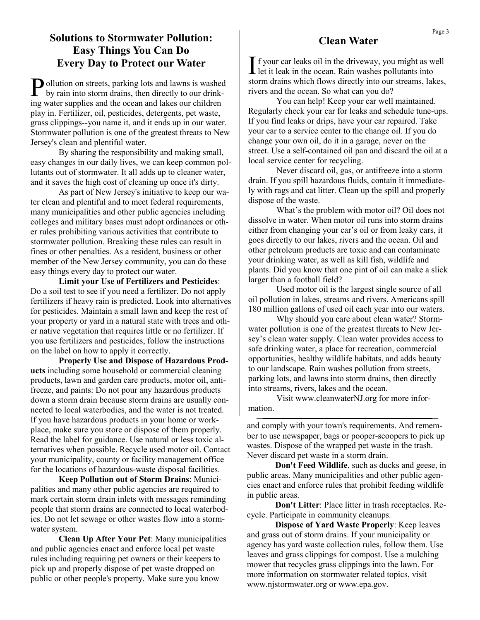## **Solutions to Stormwater Pollution: Easy Things You Can Do Every Day to Protect our Water**

Pollution on streets, parking lots and lawns is washed<br>by rain into storm drains, then directly to our drinkby rain into storm drains, then directly to our drinking water supplies and the ocean and lakes our children play in. Fertilizer, oil, pesticides, detergents, pet waste, grass clippings--you name it, and it ends up in our water. Stormwater pollution is one of the greatest threats to New Jersey's clean and plentiful water.

By sharing the responsibility and making small, easy changes in our daily lives, we can keep common pollutants out of stormwater. It all adds up to cleaner water, and it saves the high cost of cleaning up once it's dirty.

As part of New Jersey's initiative to keep our water clean and plentiful and to meet federal requirements, many municipalities and other public agencies including colleges and military bases must adopt ordinances or other rules prohibiting various activities that contribute to stormwater pollution. Breaking these rules can result in fines or other penalties. As a resident, business or other member of the New Jersey community, you can do these easy things every day to protect our water.

**Limit your Use of Fertilizers and Pesticides**: Do a soil test to see if you need a fertilizer. Do not apply fertilizers if heavy rain is predicted. Look into alternatives for pesticides. Maintain a small lawn and keep the rest of your property or yard in a natural state with trees and other native vegetation that requires little or no fertilizer. If you use fertilizers and pesticides, follow the instructions on the label on how to apply it correctly.

**Properly Use and Dispose of Hazardous Products** including some household or commercial cleaning products, lawn and garden care products, motor oil, antifreeze, and paints: Do not pour any hazardous products down a storm drain because storm drains are usually connected to local waterbodies, and the water is not treated. If you have hazardous products in your home or workplace, make sure you store or dispose of them properly. Read the label for guidance. Use natural or less toxic alternatives when possible. Recycle used motor oil. Contact your municipality, county or facility management office for the locations of hazardous-waste disposal facilities.

**Keep Pollution out of Storm Drains**: Municipalities and many other public agencies are required to mark certain storm drain inlets with messages reminding people that storm drains are connected to local waterbodies. Do not let sewage or other wastes flow into a stormwater system.

**Clean Up After Your Pet**: Many municipalities and public agencies enact and enforce local pet waste rules including requiring pet owners or their keepers to pick up and properly dispose of pet waste dropped on public or other people's property. Make sure you know

### **Clean Water**

If your car leaks oil in the driveway, you might as well let it leak in the ocean. Rain washes pollutants into let it leak in the ocean. Rain washes pollutants into storm drains which flows directly into our streams, lakes, rivers and the ocean. So what can you do?

You can help! Keep your car well maintained. Regularly check your car for leaks and schedule tune-ups. If you find leaks or drips, have your car repaired. Take your car to a service center to the change oil. If you do change your own oil, do it in a garage, never on the street. Use a self-contained oil pan and discard the oil at a local service center for recycling.

Never discard oil, gas, or antifreeze into a storm drain. If you spill hazardous fluids, contain it immediately with rags and cat litter. Clean up the spill and properly dispose of the waste.

What's the problem with motor oil? Oil does not dissolve in water. When motor oil runs into storm drains either from changing your car's oil or from leaky cars, it goes directly to our lakes, rivers and the ocean. Oil and other petroleum products are toxic and can contaminate your drinking water, as well as kill fish, wildlife and plants. Did you know that one pint of oil can make a slick larger than a football field?

Used motor oil is the largest single source of all oil pollution in lakes, streams and rivers. Americans spill 180 million gallons of used oil each year into our waters.

Why should you care about clean water? Stormwater pollution is one of the greatest threats to New Jersey's clean water supply. Clean water provides access to safe drinking water, a place for recreation, commercial opportunities, healthy wildlife habitats, and adds beauty to our landscape. Rain washes pollution from streets, parking lots, and lawns into storm drains, then directly into streams, rivers, lakes and the ocean.

Visit www.cleanwaterNJ.org for more information.

and comply with your town's requirements. And remember to use newspaper, bags or pooper-scoopers to pick up wastes. Dispose of the wrapped pet waste in the trash. Never discard pet waste in a storm drain.

**Don't Feed Wildlife**, such as ducks and geese, in public areas. Many municipalities and other public agencies enact and enforce rules that prohibit feeding wildlife in public areas.

**Don't Litter**: Place litter in trash receptacles. Recycle. Participate in community cleanups.

**Dispose of Yard Waste Properly**: Keep leaves and grass out of storm drains. If your municipality or agency has yard waste collection rules, follow them. Use leaves and grass clippings for compost. Use a mulching mower that recycles grass clippings into the lawn. For more information on stormwater related topics, visit www.njstormwater.org or www.epa.gov.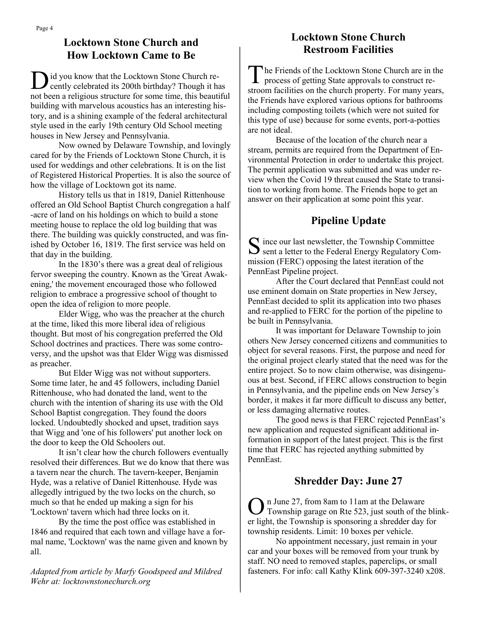## **Locktown Stone Church and How Locktown Came to Be**

D id you know that the Locktown Stone Church recently celebrated its 200th birthday? Though it has not been a religious structure for some time, this beautiful building with marvelous acoustics has an interesting history, and is a shining example of the federal architectural style used in the early 19th century Old School meeting houses in New Jersey and Pennsylvania.

Now owned by Delaware Township, and lovingly cared for by the Friends of Locktown Stone Church, it is used for weddings and other celebrations. It is on the list of Registered Historical Properties. It is also the source of how the village of Locktown got its name.

History tells us that in 1819, Daniel Rittenhouse offered an Old School Baptist Church congregation a half -acre of land on his holdings on which to build a stone meeting house to replace the old log building that was there. The building was quickly constructed, and was finished by October 16, 1819. The first service was held on that day in the building.

In the 1830's there was a great deal of religious fervor sweeping the country. Known as the 'Great Awakening,' the movement encouraged those who followed religion to embrace a progressive school of thought to open the idea of religion to more people.

Elder Wigg, who was the preacher at the church at the time, liked this more liberal idea of religious thought. But most of his congregation preferred the Old School doctrines and practices. There was some controversy, and the upshot was that Elder Wigg was dismissed as preacher.

But Elder Wigg was not without supporters. Some time later, he and 45 followers, including Daniel Rittenhouse, who had donated the land, went to the church with the intention of sharing its use with the Old School Baptist congregation. They found the doors locked. Undoubtedly shocked and upset, tradition says that Wigg and 'one of his followers' put another lock on the door to keep the Old Schoolers out.

It isn't clear how the church followers eventually resolved their differences. But we do know that there was a tavern near the church. The tavern-keeper, Benjamin Hyde, was a relative of Daniel Rittenhouse. Hyde was allegedly intrigued by the two locks on the church, so much so that he ended up making a sign for his 'Locktown' tavern which had three locks on it.

By the time the post office was established in 1846 and required that each town and village have a formal name, 'Locktown' was the name given and known by all.

*Adapted from article by Marfy Goodspeed and Mildred Wehr at: locktownstonechurch.org* 

## **Locktown Stone Church Restroom Facilities**

The Friends of the Locktown Stone Church are in the process of getting State approvals to construct re-The Friends of the Locktown Stone Church are in the stroom facilities on the church property. For many years, the Friends have explored various options for bathrooms including composting toilets (which were not suited for this type of use) because for some events, port-a-potties are not ideal.

Because of the location of the church near a stream, permits are required from the Department of Environmental Protection in order to undertake this project. The permit application was submitted and was under review when the Covid 19 threat caused the State to transition to working from home. The Friends hope to get an answer on their application at some point this year.

# **Pipeline Update**

 $S$  ince our last newsletter, the Township Committee sent a letter to the Federal Energy Regulatory Com- $\Gamma$  ince our last newsletter, the Township Committee mission (FERC) opposing the latest iteration of the PennEast Pipeline project.

After the Court declared that PennEast could not use eminent domain on State properties in New Jersey, PennEast decided to split its application into two phases and re-applied to FERC for the portion of the pipeline to be built in Pennsylvania.

It was important for Delaware Township to join others New Jersey concerned citizens and communities to object for several reasons. First, the purpose and need for the original project clearly stated that the need was for the entire project. So to now claim otherwise, was disingenuous at best. Second, if FERC allows construction to begin in Pennsylvania, and the pipeline ends on New Jersey's border, it makes it far more difficult to discuss any better, or less damaging alternative routes.

The good news is that FERC rejected PennEast's new application and requested significant additional information in support of the latest project. This is the first time that FERC has rejected anything submitted by PennEast.

# **Shredder Day: June 27**

O n June 27, from 8am to 11am at the Delaware Township garage on Rte 523, just south of the blinker light, the Township is sponsoring a shredder day for township residents. Limit: 10 boxes per vehicle.

No appointment necessary, just remain in your car and your boxes will be removed from your trunk by staff. NO need to removed staples, paperclips, or small fasteners. For info: call Kathy Klink 609-397-3240 x208.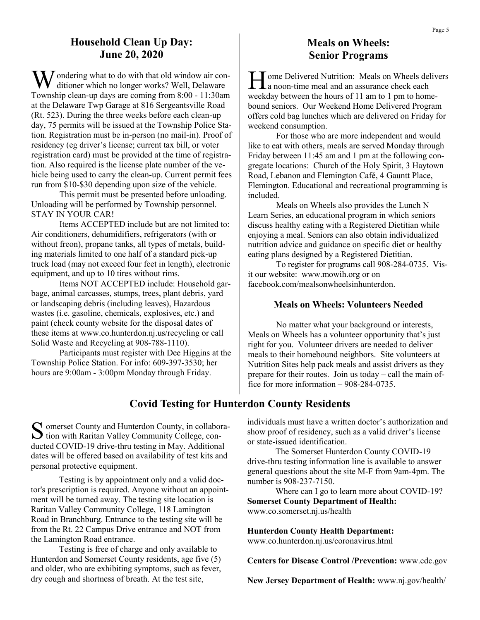### **Household Clean Up Day: June 20, 2020**

 $\sum$  ondering what to do with that old window air conditioner which no longer works? Well, Delaware Township clean-up days are coming from 8:00 - 11:30am at the Delaware Twp Garage at 816 Sergeantsville Road (Rt. 523). During the three weeks before each clean-up day, 75 permits will be issued at the Township Police Station. Registration must be in-person (no mail-in). Proof of residency (eg driver's license; current tax bill, or voter registration card) must be provided at the time of registration. Also required is the license plate number of the vehicle being used to carry the clean-up. Current permit fees run from \$10-\$30 depending upon size of the vehicle.

This permit must be presented before unloading. Unloading will be performed by Township personnel. STAY IN YOUR CAR!

Items ACCEPTED include but are not limited to: Air conditioners, dehumidifiers, refrigerators (with or without freon), propane tanks, all types of metals, building materials limited to one half of a standard pick-up truck load (may not exceed four feet in length), electronic equipment, and up to 10 tires without rims.

Items NOT ACCEPTED include: Household garbage, animal carcasses, stumps, trees, plant debris, yard or landscaping debris (including leaves), Hazardous wastes (i.e. gasoline, chemicals, explosives, etc.) and paint (check county website for the disposal dates of these items at www.co.hunterdon.nj.us/recycling or call Solid Waste and Recycling at 908-788-1110).

Participants must register with Dee Higgins at the Township Police Station. For info: 609-397-3530; her hours are 9:00am - 3:00pm Monday through Friday.

## **Meals on Wheels: Senior Programs**

H ome Delivered Nutrition: Meals on Wheels del<br>a noon-time meal and an assurance check each ome Delivered Nutrition: Meals on Wheels delivers weekday between the hours of 11 am to 1 pm to homebound seniors. Our Weekend Home Delivered Program offers cold bag lunches which are delivered on Friday for weekend consumption.

For those who are more independent and would like to eat with others, meals are served Monday through Friday between 11:45 am and 1 pm at the following congregate locations: Church of the Holy Spirit, 3 Haytown Road, Lebanon and Flemington Café, 4 Gauntt Place, Flemington. Educational and recreational programming is included.

Meals on Wheels also provides the Lunch N Learn Series, an educational program in which seniors discuss healthy eating with a Registered Dietitian while enjoying a meal. Seniors can also obtain individualized nutrition advice and guidance on specific diet or healthy eating plans designed by a Registered Dietitian.

To register for programs call 908-284-0735. Visit our website: www.mowih.org or on facebook.com/mealsonwheelsinhunterdon.

### **Meals on Wheels: Volunteers Needed**

No matter what your background or interests, Meals on Wheels has a volunteer opportunity that's just right for you. Volunteer drivers are needed to deliver meals to their homebound neighbors. Site volunteers at Nutrition Sites help pack meals and assist drivers as they prepare for their routes. Join us today – call the main office for more information – 908-284-0735.

## **Covid Testing for Hunterdon County Residents**

 $S$  omerset County and Hunterdon County, in collabora-<br>tion with Raritan Valley Community College, con- $\sum$  tion with Raritan Valley Community College, conducted COVID-19 drive-thru testing in May. Additional dates will be offered based on availability of test kits and personal protective equipment.

Testing is by appointment only and a valid doctor's prescription is required. Anyone without an appointment will be turned away. The testing site location is Raritan Valley Community College, 118 Lamington Road in Branchburg. Entrance to the testing site will be from the Rt. 22 Campus Drive entrance and NOT from the Lamington Road entrance.

Testing is free of charge and only available to Hunterdon and Somerset County residents, age five (5) and older, who are exhibiting symptoms, such as fever, dry cough and shortness of breath. At the test site,

individuals must have a written doctor's authorization and show proof of residency, such as a valid driver's license or state-issued identification.

The Somerset Hunterdon County COVID-19 drive-thru testing information line is available to answer general questions about the site M-F from 9am-4pm. The number is 908-237-7150.

Where can I go to learn more about COVID-19? **Somerset County Department of Health:**  www.co.somerset.nj.us/health

**Hunterdon County Health Department:** 

www.co.hunterdon.nj.us/coronavirus.html

**Centers for Disease Control /Prevention:** www.cdc.gov

**New Jersey Department of Health:** www.nj.gov/health/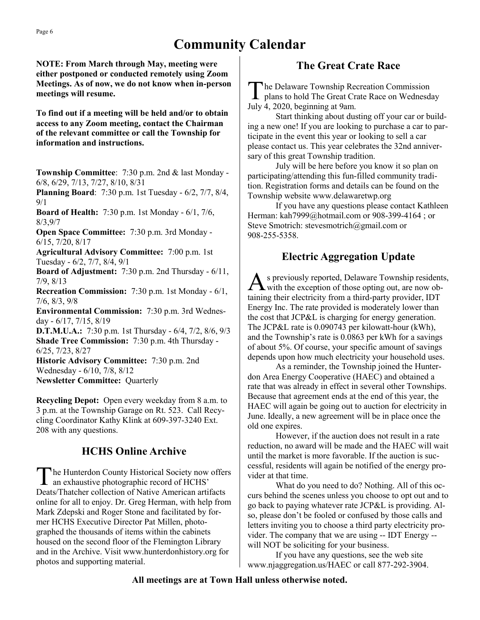# **Community Calendar**

**NOTE: From March through May, meeting were either postponed or conducted remotely using Zoom Meetings. As of now, we do not know when in-person meetings will resume.**

**To find out if a meeting will be held and/or to obtain access to any Zoom meeting, contact the Chairman of the relevant committee or call the Township for information and instructions.** 

**Township Committee**: 7:30 p.m. 2nd & last Monday - 6/8, 6/29, 7/13, 7/27, 8/10, 8/31

**Planning Board**: 7:30 p.m. 1st Tuesday - 6/2, 7/7, 8/4, 9/1

**Board of Health:** 7:30 p.m. 1st Monday - 6/1, 7/6, 8/3,9/7

**Open Space Committee:** 7:30 p.m. 3rd Monday - 6/15, 7/20, 8/17

**Agricultural Advisory Committee:** 7:00 p.m. 1st Tuesday - 6/2, 7/7, 8/4, 9/1

**Board of Adjustment:** 7:30 p.m. 2nd Thursday - 6/11, 7/9, 8/13

**Recreation Commission:** 7:30 p.m. 1st Monday - 6/1, 7/6, 8/3, 9/8

**Environmental Commission:** 7:30 p.m. 3rd Wednesday - 6/17, 7/15, 8/19

**D.T.M.U.A.:** 7:30 p.m. 1st Thursday - 6/4, 7/2, 8/6, 9/3 **Shade Tree Commission:** 7:30 p.m. 4th Thursday - 6/25, 7/23, 8/27

**Historic Advisory Committee:** 7:30 p.m. 2nd Wednesday - 6/10, 7/8, 8/12 **Newsletter Committee:** Quarterly

**Recycling Depot:** Open every weekday from 8 a.m. to 3 p.m. at the Township Garage on Rt. 523. Call Recycling Coordinator Kathy Klink at 609-397-3240 Ext. 208 with any questions.

# **HCHS Online Archive**

The Hunterdon County Historical Society now<br>an exhaustive photographic record of HCHS' he Hunterdon County Historical Society now offers Deats/Thatcher collection of Native American artifacts online for all to enjoy. Dr. Greg Herman, with help from Mark Zdepski and Roger Stone and facilitated by former HCHS Executive Director Pat Millen, photographed the thousands of items within the cabinets housed on the second floor of the Flemington Library and in the Archive. Visit www.hunterdonhistory.org for photos and supporting material.

## **The Great Crate Race**

The Delaware Township Recreation Commission<br>plans to hold The Great Crate Race on Wednesday he Delaware Township Recreation Commission July 4, 2020, beginning at 9am.

Start thinking about dusting off your car or building a new one! If you are looking to purchase a car to participate in the event this year or looking to sell a car please contact us. This year celebrates the 32nd anniversary of this great Township tradition.

July will be here before you know it so plan on participating/attending this fun-filled community tradition. Registration forms and details can be found on the Township website www.delawaretwp.org

If you have any questions please contact Kathleen Herman: kah7999@hotmail.com or 908-399-4164 ; or Steve Smotrich: stevesmotrich@gmail.com or 908-255-5358.

## **Electric Aggregation Update**

A s previously reported, Delaware Township resident<br>with the exception of those opting out, are now obs previously reported, Delaware Township residents, taining their electricity from a third-party provider, IDT Energy Inc. The rate provided is moderately lower than the cost that JCP&L is charging for energy generation. The JCP&L rate is 0.090743 per kilowatt-hour (kWh), and the Township's rate is 0.0863 per kWh for a savings of about 5%. Of course, your specific amount of savings depends upon how much electricity your household uses.

As a reminder, the Township joined the Hunterdon Area Energy Cooperative (HAEC) and obtained a rate that was already in effect in several other Townships. Because that agreement ends at the end of this year, the HAEC will again be going out to auction for electricity in June. Ideally, a new agreement will be in place once the old one expires.

However, if the auction does not result in a rate reduction, no award will be made and the HAEC will wait until the market is more favorable. If the auction is successful, residents will again be notified of the energy provider at that time.

What do you need to do? Nothing. All of this occurs behind the scenes unless you choose to opt out and to go back to paying whatever rate JCP&L is providing. Also, please don't be fooled or confused by those calls and letters inviting you to choose a third party electricity provider. The company that we are using -- IDT Energy - will NOT be soliciting for your business.

If you have any questions, see the web site www.njaggregation.us/HAEC or call 877-292-3904.

### **All meetings are at Town Hall unless otherwise noted.**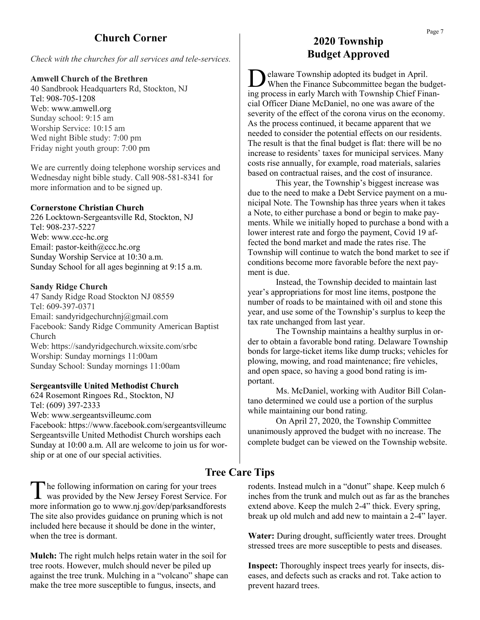## **Church Corner**

*Check with the churches for all services and tele-services.*

#### **Amwell Church of the Brethren**

40 Sandbrook Headquarters Rd, Stockton, NJ Tel: 908-705-1208 Web: www.amwell.org Sunday school: 9:15 am Worship Service: 10:15 am Wed night Bible study: 7:00 pm Friday night youth group: 7:00 pm

We are currently doing telephone worship services and Wednesday night bible study. Call 908-581-8341 for more information and to be signed up.

#### **Cornerstone Christian Church**

226 Locktown-Sergeantsville Rd, Stockton, NJ Tel: 908-237-5227 Web: www.ccc-hc.org Email: pastor-keith@ccc.hc.org Sunday Worship Service at 10:30 a.m. Sunday School for all ages beginning at 9:15 a.m.

#### **Sandy Ridge Church**

47 Sandy Ridge Road Stockton NJ 08559 Tel: 609-397-0371 Email: sandyridgechurchnj@gmail.com Facebook: Sandy Ridge Community American Baptist Church Web: https://sandyridgechurch.wixsite.com/srbc Worship: Sunday mornings 11:00am Sunday School: Sunday mornings 11:00am

#### **Sergeantsville United Methodist Church**

624 Rosemont Ringoes Rd., Stockton, NJ Tel: (609) 397-2333 Web: www.sergeantsvilleumc.com Facebook: https://www.facebook.com/sergeantsvilleumc Sergeantsville United Methodist Church worships each Sunday at 10:00 a.m. All are welcome to join us for worship or at one of our special activities.

The following information on caring for your trees<br>was provided by the New Jersey Forest Service. For The following information on caring for your trees more information go to www.nj.gov/dep/parksandforests The site also provides guidance on pruning which is not included here because it should be done in the winter, when the tree is dormant.

**Mulch:** The right mulch helps retain water in the soil for tree roots. However, mulch should never be piled up against the tree trunk. Mulching in a "volcano" shape can make the tree more susceptible to fungus, insects, and

### **2020 Township Budget Approved**

D elaware Township adopted its budget in April. When the Finance Subcommittee began the budgeting process in early March with Township Chief Financial Officer Diane McDaniel, no one was aware of the severity of the effect of the corona virus on the economy. As the process continued, it became apparent that we needed to consider the potential effects on our residents. The result is that the final budget is flat: there will be no increase to residents' taxes for municipal services. Many costs rise annually, for example, road materials, salaries based on contractual raises, and the cost of insurance.

This year, the Township's biggest increase was due to the need to make a Debt Service payment on a municipal Note. The Township has three years when it takes a Note, to either purchase a bond or begin to make payments. While we initially hoped to purchase a bond with a lower interest rate and forgo the payment, Covid 19 affected the bond market and made the rates rise. The Township will continue to watch the bond market to see if conditions become more favorable before the next payment is due.

Instead, the Township decided to maintain last year's appropriations for most line items, postpone the number of roads to be maintained with oil and stone this year, and use some of the Township's surplus to keep the tax rate unchanged from last year.

The Township maintains a healthy surplus in order to obtain a favorable bond rating. Delaware Township bonds for large-ticket items like dump trucks; vehicles for plowing, mowing, and road maintenance; fire vehicles, and open space, so having a good bond rating is important.

Ms. McDaniel, working with Auditor Bill Colantano determined we could use a portion of the surplus while maintaining our bond rating.

On April 27, 2020, the Township Committee unanimously approved the budget with no increase. The complete budget can be viewed on the Township website.

### **Tree Care Tips**

rodents. Instead mulch in a "donut" shape. Keep mulch 6 inches from the trunk and mulch out as far as the branches extend above. Keep the mulch 2-4" thick. Every spring, break up old mulch and add new to maintain a 2-4" layer.

**Water:** During drought, sufficiently water trees. Drought stressed trees are more susceptible to pests and diseases.

**Inspect:** Thoroughly inspect trees yearly for insects, diseases, and defects such as cracks and rot. Take action to prevent hazard trees.